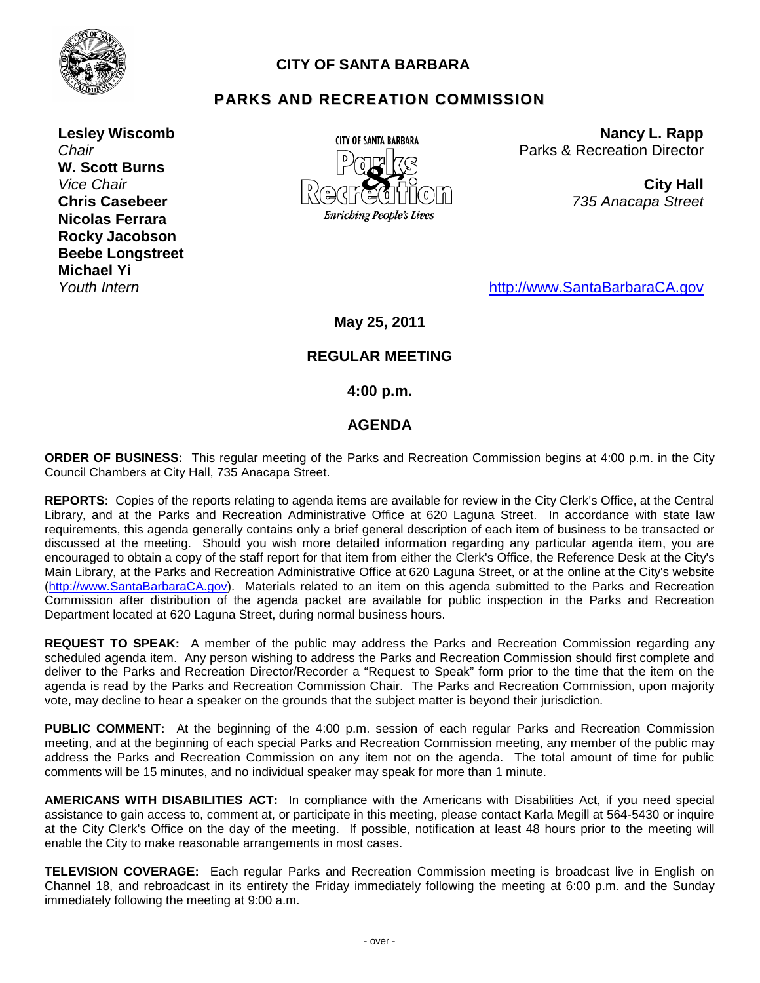

# **CITY OF SANTA BARBARA**

# **PARKS AND RECREATION COMMISSION**

**Lesley Wiscomb** *Chair* **W. Scott Burns** *Vice Chair* **Chris Casebeer Nicolas Ferrara Rocky Jacobson Beebe Longstreet Michael Yi**



**Nancy L. Rapp** Parks & Recreation Director

> **City Hall** *735 Anacapa Street*

*Youth Intern* [http://www.SantaBarbaraCA.gov](http://www.santabarbaraca.gov/)

# **May 25, 2011**

# **REGULAR MEETING**

**4:00 p.m.**

## **AGENDA**

**ORDER OF BUSINESS:** This regular meeting of the Parks and Recreation Commission begins at 4:00 p.m. in the City Council Chambers at City Hall, 735 Anacapa Street.

**REPORTS:** Copies of the reports relating to agenda items are available for review in the City Clerk's Office, at the Central Library, and at the Parks and Recreation Administrative Office at 620 Laguna Street. In accordance with state law requirements, this agenda generally contains only a brief general description of each item of business to be transacted or discussed at the meeting. Should you wish more detailed information regarding any particular agenda item, you are encouraged to obtain a copy of the staff report for that item from either the Clerk's Office, the Reference Desk at the City's Main Library, at the Parks and Recreation Administrative Office at 620 Laguna Street, or at the online at the City's website [\(http://www.SantaBarbaraCA.gov\)](http://www.santabarbaraca.gov/). Materials related to an item on this agenda submitted to the Parks and Recreation Commission after distribution of the agenda packet are available for public inspection in the Parks and Recreation Department located at 620 Laguna Street, during normal business hours.

**REQUEST TO SPEAK:** A member of the public may address the Parks and Recreation Commission regarding any scheduled agenda item. Any person wishing to address the Parks and Recreation Commission should first complete and deliver to the Parks and Recreation Director/Recorder a "Request to Speak" form prior to the time that the item on the agenda is read by the Parks and Recreation Commission Chair. The Parks and Recreation Commission, upon majority vote, may decline to hear a speaker on the grounds that the subject matter is beyond their jurisdiction.

**PUBLIC COMMENT:** At the beginning of the 4:00 p.m. session of each regular Parks and Recreation Commission meeting, and at the beginning of each special Parks and Recreation Commission meeting, any member of the public may address the Parks and Recreation Commission on any item not on the agenda. The total amount of time for public comments will be 15 minutes, and no individual speaker may speak for more than 1 minute.

**AMERICANS WITH DISABILITIES ACT:** In compliance with the Americans with Disabilities Act, if you need special assistance to gain access to, comment at, or participate in this meeting, please contact Karla Megill at 564-5430 or inquire at the City Clerk's Office on the day of the meeting. If possible, notification at least 48 hours prior to the meeting will enable the City to make reasonable arrangements in most cases.

**TELEVISION COVERAGE:** Each regular Parks and Recreation Commission meeting is broadcast live in English on Channel 18, and rebroadcast in its entirety the Friday immediately following the meeting at 6:00 p.m. and the Sunday immediately following the meeting at 9:00 a.m.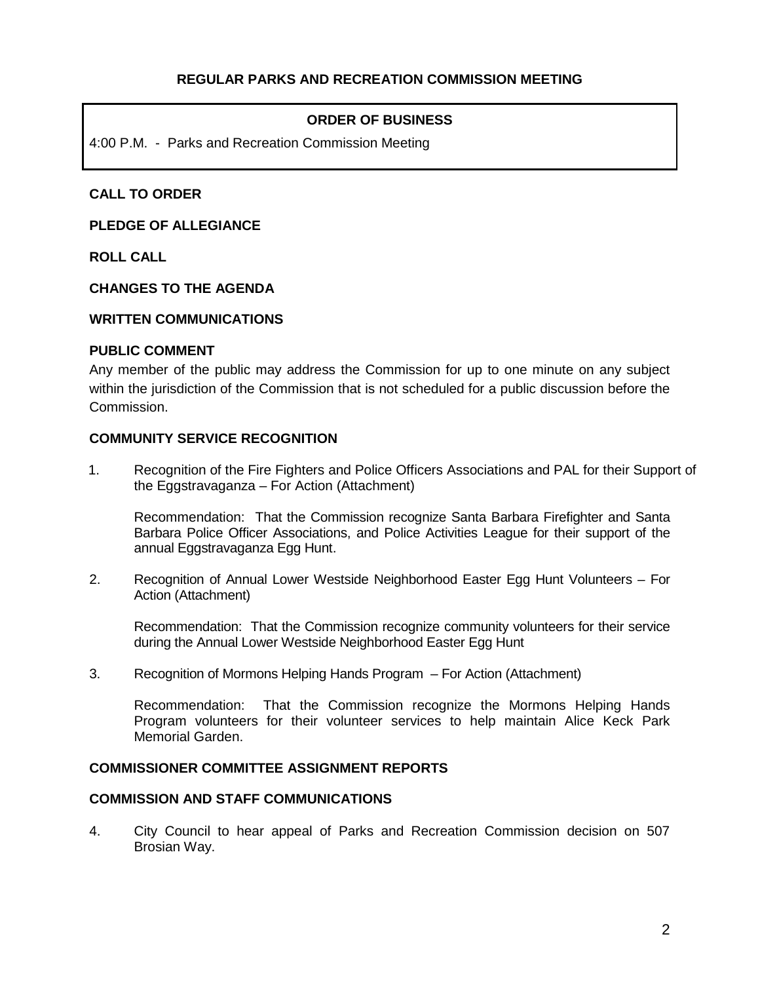### **ORDER OF BUSINESS**

4:00 P.M. - Parks and Recreation Commission Meeting

### **CALL TO ORDER**

**PLEDGE OF ALLEGIANCE**

**ROLL CALL**

#### **CHANGES TO THE AGENDA**

#### **WRITTEN COMMUNICATIONS**

### **PUBLIC COMMENT**

Any member of the public may address the Commission for up to one minute on any subject within the jurisdiction of the Commission that is not scheduled for a public discussion before the Commission.

### **COMMUNITY SERVICE RECOGNITION**

1. Recognition of the Fire Fighters and Police Officers Associations and PAL for their Support of the Eggstravaganza – For Action (Attachment)

Recommendation: That the Commission recognize Santa Barbara Firefighter and Santa Barbara Police Officer Associations, and Police Activities League for their support of the annual Eggstravaganza Egg Hunt.

2. Recognition of Annual Lower Westside Neighborhood Easter Egg Hunt Volunteers – For Action (Attachment)

Recommendation: That the Commission recognize community volunteers for their service during the Annual Lower Westside Neighborhood Easter Egg Hunt

3. Recognition of Mormons Helping Hands Program – For Action (Attachment)

Recommendation: That the Commission recognize the Mormons Helping Hands Program volunteers for their volunteer services to help maintain Alice Keck Park Memorial Garden.

#### **COMMISSIONER COMMITTEE ASSIGNMENT REPORTS**

#### **COMMISSION AND STAFF COMMUNICATIONS**

4. City Council to hear appeal of Parks and Recreation Commission decision on 507 Brosian Way.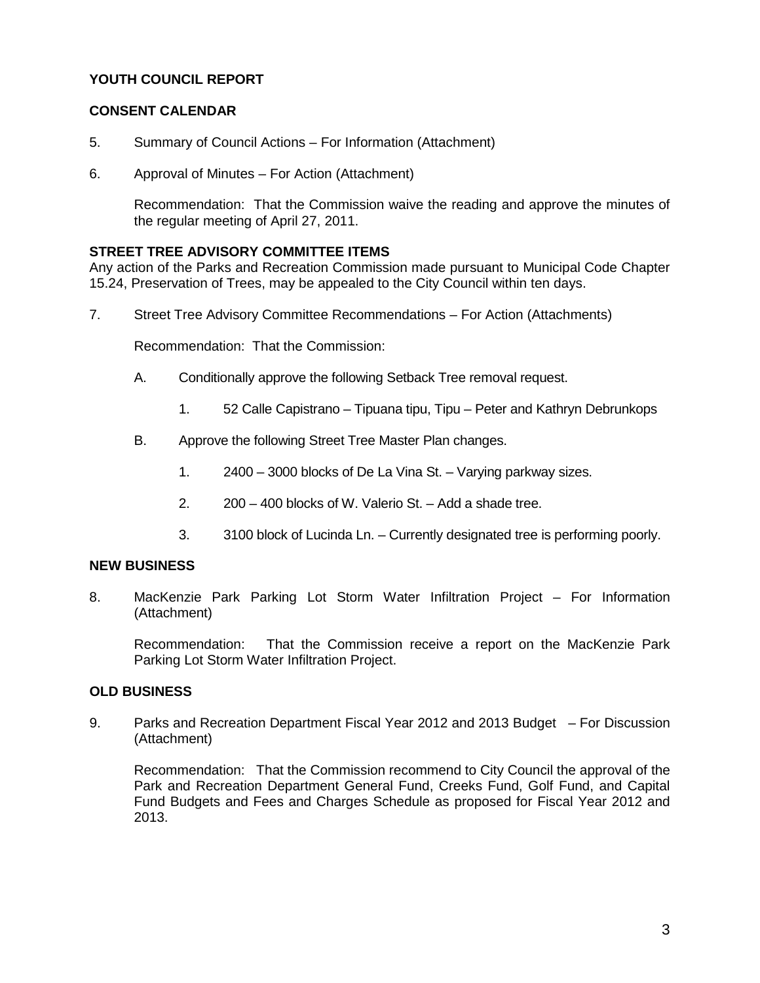## **YOUTH COUNCIL REPORT**

### **CONSENT CALENDAR**

- 5. Summary of Council Actions For Information (Attachment)
- 6. Approval of Minutes For Action (Attachment)

Recommendation: That the Commission waive the reading and approve the minutes of the regular meeting of April 27, 2011.

### **STREET TREE ADVISORY COMMITTEE ITEMS**

Any action of the Parks and Recreation Commission made pursuant to Municipal Code Chapter 15.24, Preservation of Trees, may be appealed to the City Council within ten days.

7. Street Tree Advisory Committee Recommendations – For Action (Attachments)

Recommendation: That the Commission:

- A. Conditionally approve the following Setback Tree removal request.
	- 1. 52 Calle Capistrano Tipuana tipu, Tipu Peter and Kathryn Debrunkops
- B. Approve the following Street Tree Master Plan changes.
	- 1. 2400 3000 blocks of De La Vina St. Varying parkway sizes.
	- 2. 200 400 blocks of W. Valerio St. Add a shade tree.
	- 3. 3100 block of Lucinda Ln. Currently designated tree is performing poorly.

#### **NEW BUSINESS**

8. MacKenzie Park Parking Lot Storm Water Infiltration Project – For Information (Attachment)

Recommendation: That the Commission receive a report on the MacKenzie Park Parking Lot Storm Water Infiltration Project.

### **OLD BUSINESS**

9. Parks and Recreation Department Fiscal Year 2012 and 2013 Budget – For Discussion (Attachment)

Recommendation: That the Commission recommend to City Council the approval of the Park and Recreation Department General Fund, Creeks Fund, Golf Fund, and Capital Fund Budgets and Fees and Charges Schedule as proposed for Fiscal Year 2012 and 2013.